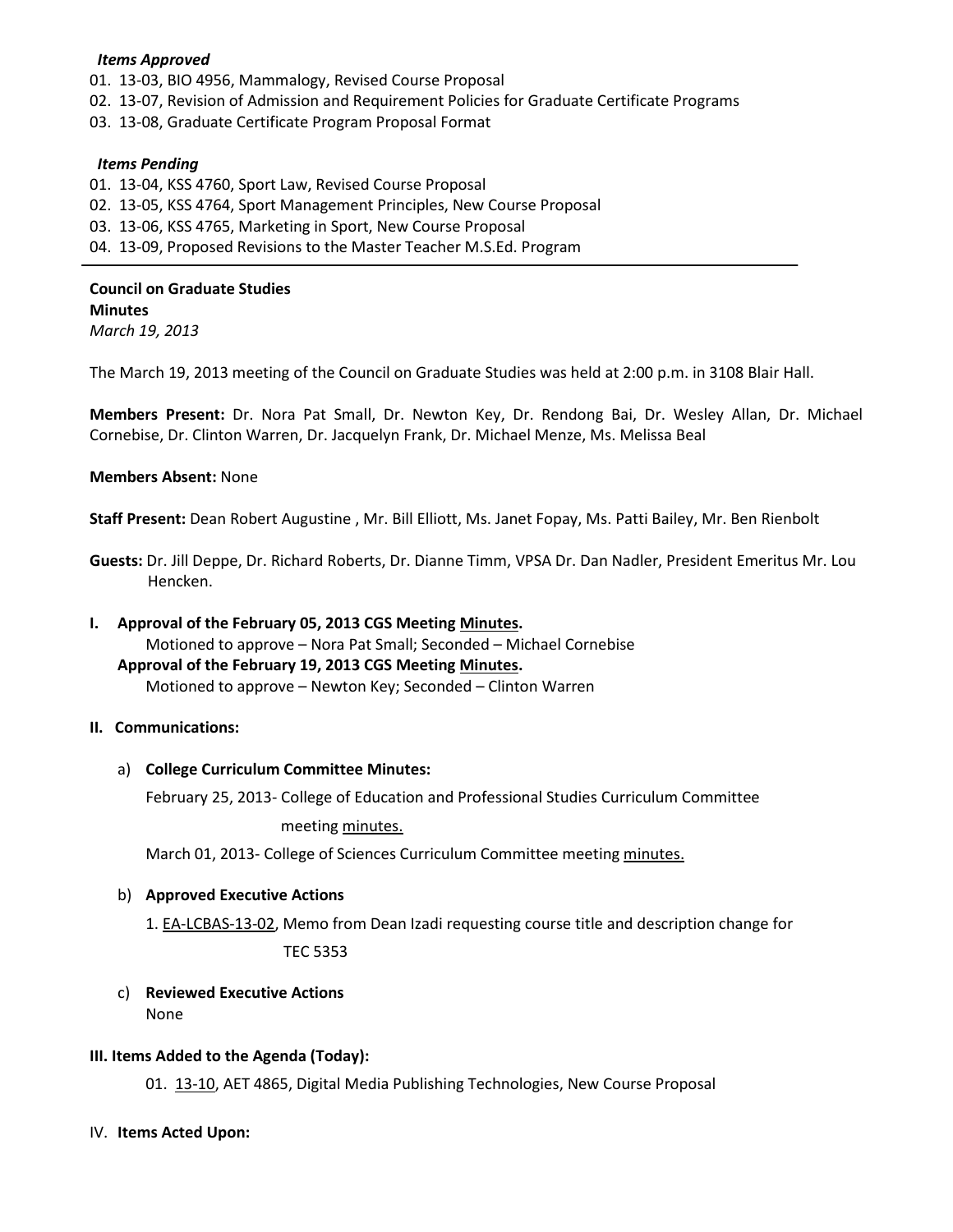### *Items Approved*

- 01. 13-03, BIO 4956, Mammalogy, Revised Course Proposal
- 02. 13-07, Revision of Admission and Requirement Policies for Graduate Certificate Programs
- 03. 13-08, Graduate Certificate Program Proposal Format

#### *Items Pending*

- 01. 13-04, KSS 4760, Sport Law, Revised Course Proposal
- 02. 13-05, KSS 4764, Sport Management Principles, New Course Proposal
- 03. 13-06, KSS 4765, Marketing in Sport, New Course Proposal
- 04. 13-09, Proposed Revisions to the Master Teacher M.S.Ed. Program

# **Council on Graduate Studies Minutes**

*March 19, 2013*

The March 19, 2013 meeting of the Council on Graduate Studies was held at 2:00 p.m. in 3108 Blair Hall.

**Members Present:** Dr. Nora Pat Small, Dr. Newton Key, Dr. Rendong Bai, Dr. Wesley Allan, Dr. Michael Cornebise, Dr. Clinton Warren, Dr. Jacquelyn Frank, Dr. Michael Menze, Ms. Melissa Beal

## **Members Absent:** None

**Staff Present:** Dean Robert Augustine , Mr. Bill Elliott, Ms. Janet Fopay, Ms. Patti Bailey, Mr. Ben Rienbolt

**Guests:** Dr. Jill Deppe, Dr. Richard Roberts, Dr. Dianne Timm, VPSA Dr. Dan Nadler, President Emeritus Mr. Lou Hencken.

## **I. Approval of the February 05, 2013 CGS Meeting [Minutes.](http://castle.eiu.edu/eiucgs/currentminutes/Minutes02-05-13.pdf)**

Motioned to approve – Nora Pat Small; Seconded – Michael Cornebise **Approval of the February 19, 2013 CGS Meeting [Minutes.](http://castle.eiu.edu/eiucgs/currentminutes/Minutes02-19-13.pdf)** Motioned to approve – Newton Key; Seconded – Clinton Warren

## **II. Communications:**

#### a) **College Curriculum Committee Minutes:**

February 25, 2013- College of Education and Professional Studies Curriculum Committee

meeting [minutes.](http://castle.eiu.edu/~eiucgs/currentagendaitems/CEPSMin02-25-13.pdf)

March 01, 2013- College of Sciences Curriculum Committee meetin[g minutes.](http://castle.eiu.edu/~eiucgs/currentagendaitems/COSMin03-01-13.pdf)

## b) **Approved Executive Actions**

1[. EA-LCBAS-13-02,](http://castle.eiu.edu/~eiucgs/exec-actions/EA-LCBAS-13-02.pdf) Memo from Dean Izadi requesting course title and description change for TEC 5353

## c) **Reviewed Executive Actions** None

#### **III. Items Added to the Agenda (Today):**

01. [13-10,](http://castle.eiu.edu/~eiucgs/currentagendaitems/agenda13-10.pdf) AET 4865, Digital Media Publishing Technologies, New Course Proposal

IV. **Items Acted Upon:**